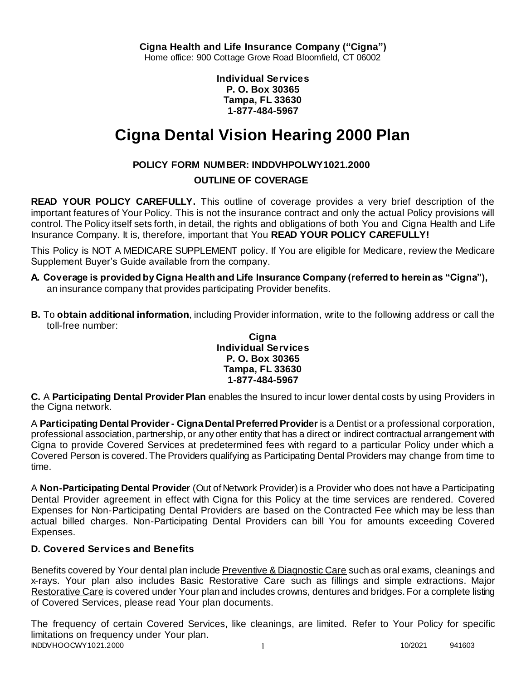**Individual Services P. O. Box 30365 Tampa, FL 33630 1-877-484-5967**

# **Cigna Dental Vision Hearing 2000 Plan**

# **POLICY FORM NUMBER: INDDVHPOLWY1021.2000**

# **OUTLINE OF COVERAGE**

**READ YOUR POLICY CAREFULLY.** This outline of coverage provides a very brief description of the important features of Your Policy. This is not the insurance contract and only the actual Policy provisions will control. The Policy itself sets forth, in detail, the rights and obligations of both You and Cigna Health and Life Insurance Company. It is, therefore, important that You **READ YOUR POLICY CAREFULLY!** 

This Policy is NOT A MEDICARE SUPPLEMENT policy. If You are eligible for Medicare, review the Medicare Supplement Buyer's Guide available from the company.

- **A. Coverage is provided by Cigna Health and Life Insurance Company (referred to herein as "Cigna"),**  an insurance company that provides participating Provider benefits.
- **B.** To **obtain additional information**, including Provider information, write to the following address or call the toll-free number:

#### **Cigna Individual Services P. O. Box 30365 Tampa, FL 33630 1-877-484-5967**

**C.** A **Participating Dental Provider Plan** enables the Insured to incur lower dental costs by using Providers in the Cigna network.

A **Participating Dental Provider - Cigna Dental Preferred Provider** is a Dentist or a professional corporation, professional association, partnership, or any other entity that has a direct or indirect contractual arrangement with Cigna to provide Covered Services at predetermined fees with regard to a particular Policy under which a Covered Person is covered. The Providers qualifying as Participating Dental Providers may change from time to time.

A **Non-Participating Dental Provider** (Out of Network Provider) is a Provider who does not have a Participating Dental Provider agreement in effect with Cigna for this Policy at the time services are rendered. Covered Expenses for Non-Participating Dental Providers are based on the Contracted Fee which may be less than actual billed charges. Non-Participating Dental Providers can bill You for amounts exceeding Covered Expenses.

# **D. Covered Services and Benefits**

Benefits covered by Your dental plan include Preventive & Diagnostic Care such as oral exams, cleanings and x-rays. Your plan also includes Basic Restorative Care such as fillings and simple extractions. Major Restorative Care is covered under Your plan and includes crowns, dentures and bridges. For a complete listing of Covered Services, please read Your plan documents.

INDDVHOOCWY1021.2000 1 10/2021 941603 The frequency of certain Covered Services, like cleanings, are limited. Refer to Your Policy for specific limitations on frequency under Your plan.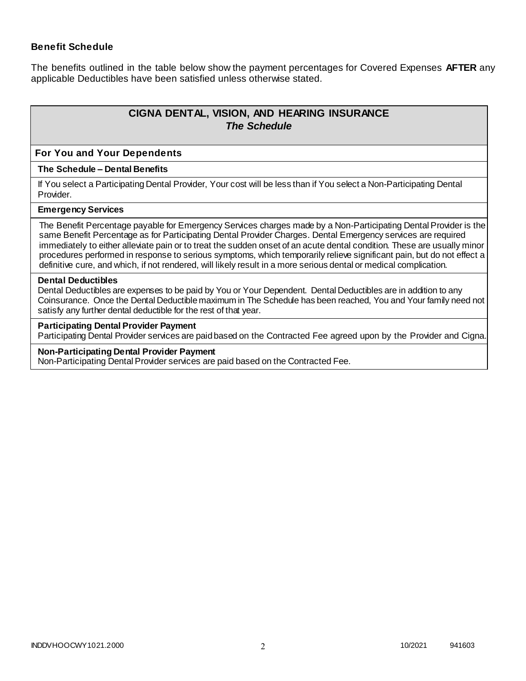## **Benefit Schedule**

The benefits outlined in the table below show the payment percentages for Covered Expenses **AFTER** any applicable Deductibles have been satisfied unless otherwise stated.

# **CIGNA DENTAL, VISION, AND HEARING INSURANCE** *The Schedule*

#### **For You and Your Dependents**

#### **The Schedule – Dental Benefits**

If You select a Participating Dental Provider, Your cost will be less than if You select a Non-Participating Dental Provider.

#### **Emergency Services**

The Benefit Percentage payable for Emergency Services charges made by a Non-Participating Dental Provider is the same Benefit Percentage as for Participating Dental Provider Charges. Dental Emergency services are required immediately to either alleviate pain or to treat the sudden onset of an acute dental condition. These are usually minor procedures performed in response to serious symptoms, which temporarily relieve significant pain, but do not effect a definitive cure, and which, if not rendered, will likely result in a more serious dental or medical complication.

#### **Dental Deductibles**

Dental Deductibles are expenses to be paid by You or Your Dependent. Dental Deductibles are in addition to any Coinsurance. Once the Dental Deductible maximum in The Schedule has been reached, You and Your family need not satisfy any further dental deductible for the rest of that year.

#### **Participating Dental Provider Payment**

Participating Dental Provider services are paid based on the Contracted Fee agreed upon by the Provider and Cigna.

#### **Non-Participating Dental Provider Payment**

Non-Participating Dental Provider services are paid based on the Contracted Fee.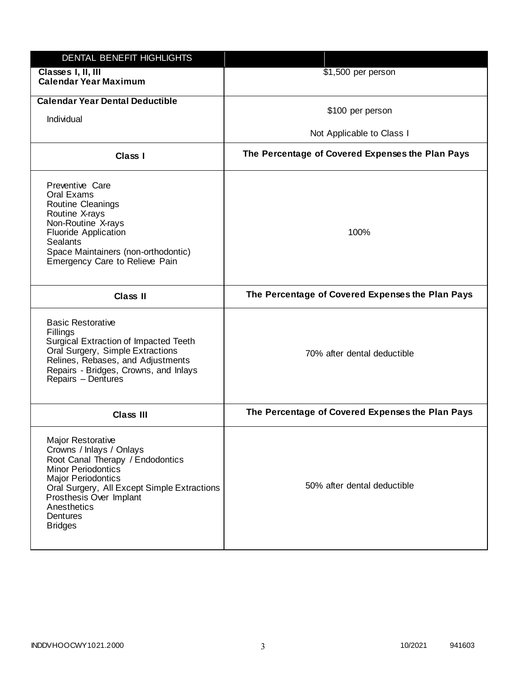| <b>DENTAL BENEFIT HIGHLIGHTS</b>                                                                                                                                                                                                                                   |                                                  |
|--------------------------------------------------------------------------------------------------------------------------------------------------------------------------------------------------------------------------------------------------------------------|--------------------------------------------------|
| Classes I, II, III<br><b>Calendar Year Maximum</b>                                                                                                                                                                                                                 | \$1,500 per person                               |
| <b>Calendar Year Dental Deductible</b>                                                                                                                                                                                                                             | \$100 per person                                 |
| Individual                                                                                                                                                                                                                                                         |                                                  |
|                                                                                                                                                                                                                                                                    | Not Applicable to Class I                        |
| Class I                                                                                                                                                                                                                                                            | The Percentage of Covered Expenses the Plan Pays |
| Preventive Care<br>Oral Exams<br>Routine Cleanings<br>Routine X-rays<br>Non-Routine X-rays<br>Fluoride Application<br><b>Sealants</b><br>Space Maintainers (non-orthodontic)<br>Emergency Care to Relieve Pain                                                     | 100%                                             |
| Class II                                                                                                                                                                                                                                                           | The Percentage of Covered Expenses the Plan Pays |
| <b>Basic Restorative</b><br>Fillings<br>Surgical Extraction of Impacted Teeth<br>Oral Surgery, Simple Extractions<br>Relines, Rebases, and Adjustments<br>Repairs - Bridges, Crowns, and Inlays<br>Repairs - Dentures                                              | 70% after dental deductible                      |
| <b>Class III</b>                                                                                                                                                                                                                                                   | The Percentage of Covered Expenses the Plan Pays |
| Major Restorative<br>Crowns / Inlays / Onlays<br>Root Canal Therapy / Endodontics<br><b>Minor Periodontics</b><br><b>Major Periodontics</b><br>Oral Surgery, All Except Simple Extractions<br>Prosthesis Over Implant<br>Anesthetics<br>Dentures<br><b>Bridges</b> | 50% after dental deductible                      |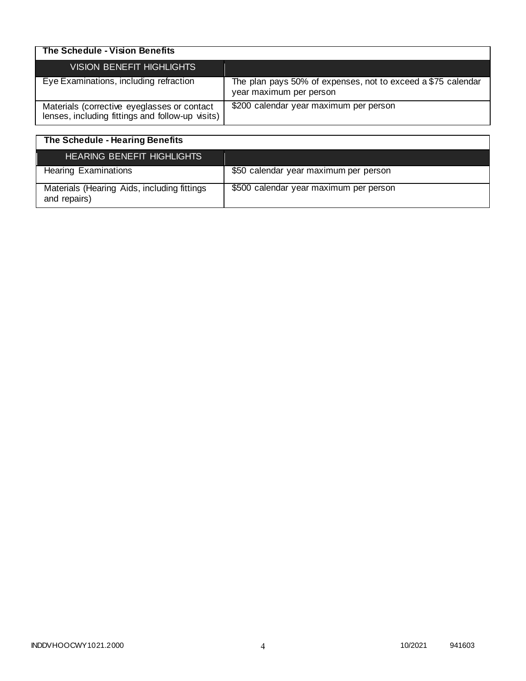| The Schedule - Vision Benefits                                                                  |                                                                                         |
|-------------------------------------------------------------------------------------------------|-----------------------------------------------------------------------------------------|
| VISION BENEFIT HIGHLIGHTS                                                                       |                                                                                         |
| Eye Examinations, including refraction                                                          | The plan pays 50% of expenses, not to exceed a \$75 calendar<br>year maximum per person |
| Materials (corrective eyeglasses or contact<br>lenses, including fittings and follow-up visits) | \$200 calendar year maximum per person                                                  |

| The Schedule - Hearing Benefits                             |                                        |
|-------------------------------------------------------------|----------------------------------------|
| <b>HEARING BENEFIT HIGHLIGHTS</b>                           |                                        |
| <b>Hearing Examinations</b>                                 | \$50 calendar year maximum per person  |
| Materials (Hearing Aids, including fittings<br>and repairs) | \$500 calendar year maximum per person |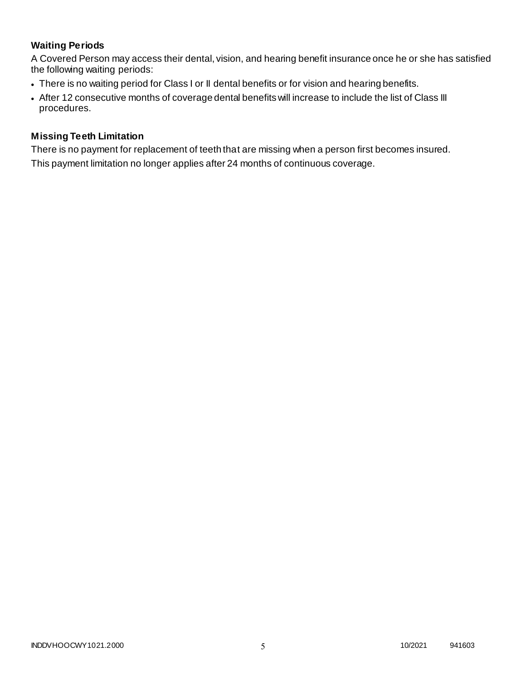# **Waiting Periods**

A Covered Person may access their dental, vision, and hearing benefit insurance once he or she has satisfied the following waiting periods:

- There is no waiting period for Class I or II dental benefits or for vision and hearing benefits.
- After 12 consecutive months of coverage dental benefits will increase to include the list of Class III procedures.

## **Missing Teeth Limitation**

There is no payment for replacement of teeth that are missing when a person first becomes insured. This payment limitation no longer applies after 24 months of continuous coverage.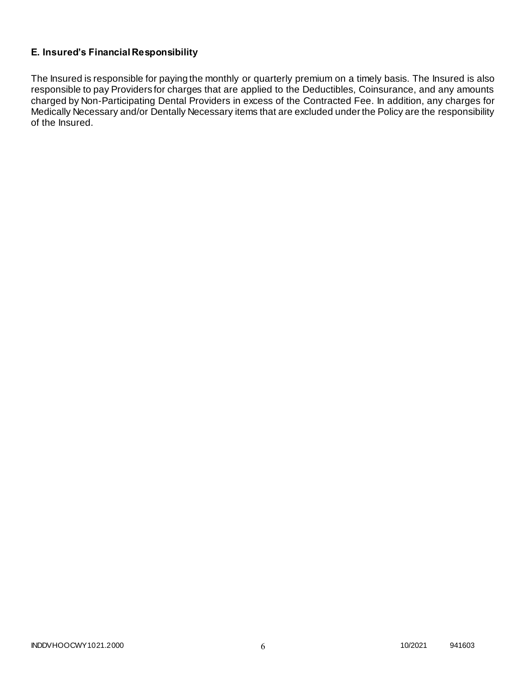# **E. Insured's Financial Responsibility**

The Insured is responsible for paying the monthly or quarterly premium on a timely basis. The Insured is also responsible to pay Providers for charges that are applied to the Deductibles, Coinsurance, and any amounts charged by Non-Participating Dental Providers in excess of the Contracted Fee. In addition, any charges for Medically Necessary and/or Dentally Necessary items that are excluded under the Policy are the responsibility of the Insured.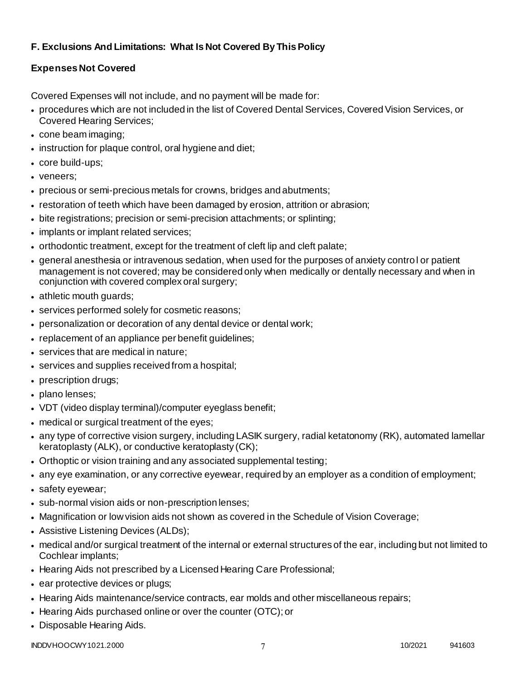# **F. Exclusions And Limitations: What Is Not Covered By This Policy**

# **Expenses Not Covered**

Covered Expenses will not include, and no payment will be made for:

- procedures which are not included in the list of Covered Dental Services, Covered Vision Services, or Covered Hearing Services;
- cone beam imaging;
- instruction for plaque control, oral hygiene and diet;
- core build-ups;
- veneers;
- precious or semi-precious metals for crowns, bridges and abutments;
- restoration of teeth which have been damaged by erosion, attrition or abrasion;
- bite registrations; precision or semi-precision attachments; or splinting;
- implants or implant related services;
- orthodontic treatment, except for the treatment of cleft lip and cleft palate;
- general anesthesia or intravenous sedation, when used for the purposes of anxiety control or patient management is not covered; may be considered only when medically or dentally necessary and when in conjunction with covered complex oral surgery;
- athletic mouth guards;
- services performed solely for cosmetic reasons;
- personalization or decoration of any dental device or dental work;
- replacement of an appliance per benefit guidelines;
- services that are medical in nature:
- services and supplies received from a hospital;
- prescription drugs;
- plano lenses:
- VDT (video display terminal)/computer eyeglass benefit;
- medical or surgical treatment of the eyes;
- any type of corrective vision surgery, including LASIK surgery, radial ketatonomy (RK), automated lamellar keratoplasty (ALK), or conductive keratoplasty (CK);
- Orthoptic or vision training and any associated supplemental testing;
- any eye examination, or any corrective eyewear, required by an employer as a condition of employment;
- safety eyewear;
- sub-normal vision aids or non-prescription lenses;
- Magnification or low vision aids not shown as covered in the Schedule of Vision Coverage;
- Assistive Listening Devices (ALDs);
- medical and/or surgical treatment of the internal or external structures of the ear, including but not limited to Cochlear implants;
- Hearing Aids not prescribed by a Licensed Hearing Care Professional;
- ear protective devices or plugs;
- Hearing Aids maintenance/service contracts, ear molds and other miscellaneous repairs;
- Hearing Aids purchased online or over the counter (OTC); or
- Disposable Hearing Aids.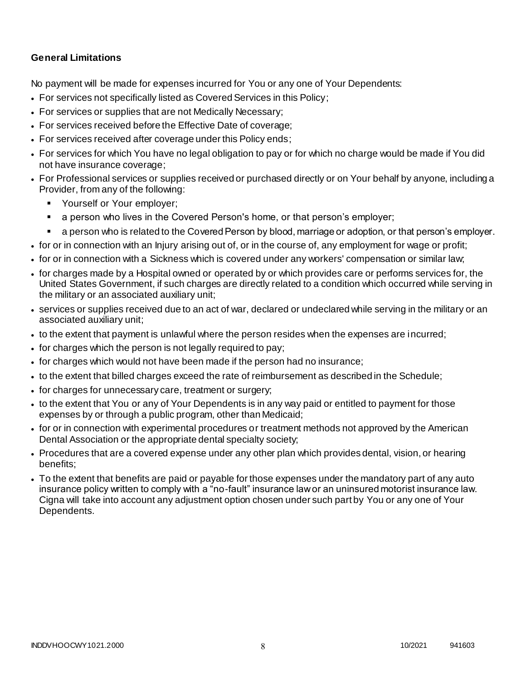## **General Limitations**

No payment will be made for expenses incurred for You or any one of Your Dependents:

- For services not specifically listed as Covered Services in this Policy;
- For services or supplies that are not Medically Necessary;
- For services received before the Effective Date of coverage;
- For services received after coverage under this Policy ends;
- For services for which You have no legal obligation to pay or for which no charge would be made if You did not have insurance coverage;
- For Professional services or supplies received or purchased directly or on Your behalf by anyone, including a Provider, from any of the following:
	- **Yourself or Your employer;**
	- a person who lives in the Covered Person's home, or that person's employer;
	- a person who is related to the Covered Person by blood, marriage or adoption, or that person's employer.
- for or in connection with an Injury arising out of, or in the course of, any employment for wage or profit;
- for or in connection with a Sickness which is covered under any workers' compensation or similar law;
- for charges made by a Hospital owned or operated by or which provides care or performs services for, the United States Government, if such charges are directly related to a condition which occurred while serving in the military or an associated auxiliary unit;
- services or supplies received due to an act of war, declared or undeclared while serving in the military or an associated auxiliary unit;
- to the extent that payment is unlawful where the person resides when the expenses are incurred;
- for charges which the person is not legally required to pay;
- for charges which would not have been made if the person had no insurance;
- to the extent that billed charges exceed the rate of reimbursement as described in the Schedule;
- for charges for unnecessary care, treatment or surgery;
- to the extent that You or any of Your Dependents is in any way paid or entitled to payment for those expenses by or through a public program, other than Medicaid;
- for or in connection with experimental procedures or treatment methods not approved by the American Dental Association or the appropriate dental specialty society;
- Procedures that are a covered expense under any other plan which provides dental, vision, or hearing benefits;
- To the extent that benefits are paid or payable for those expenses under the mandatory part of any auto insurance policy written to comply with a "no-fault" insurance law or an uninsured motorist insurance law. Cigna will take into account any adjustment option chosen under such part by You or any one of Your Dependents.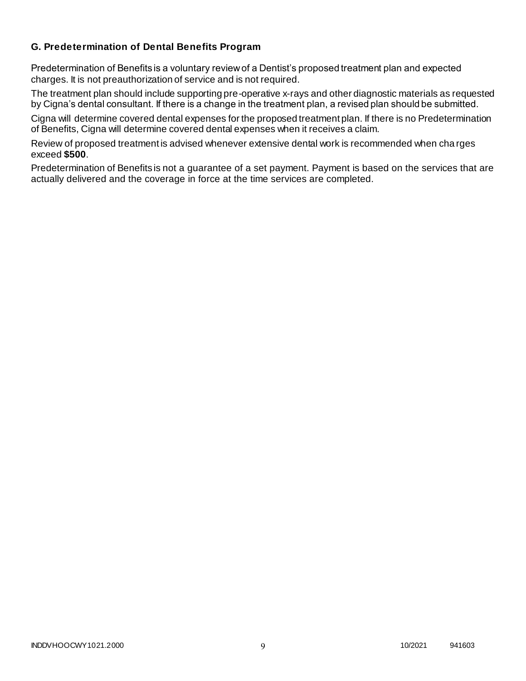## **G. Predetermination of Dental Benefits Program**

Predetermination of Benefits is a voluntary review of a Dentist's proposed treatment plan and expected charges. It is not preauthorization of service and is not required.

The treatment plan should include supporting pre-operative x-rays and other diagnostic materials as requested by Cigna's dental consultant. If there is a change in the treatment plan, a revised plan should be submitted.

Cigna will determine covered dental expenses for the proposed treatment plan. If there is no Predetermination of Benefits, Cigna will determine covered dental expenses when it receives a claim.

Review of proposed treatment is advised whenever extensive dental work is recommended when cha rges exceed **\$500**.

Predetermination of Benefits is not a guarantee of a set payment. Payment is based on the services that are actually delivered and the coverage in force at the time services are completed.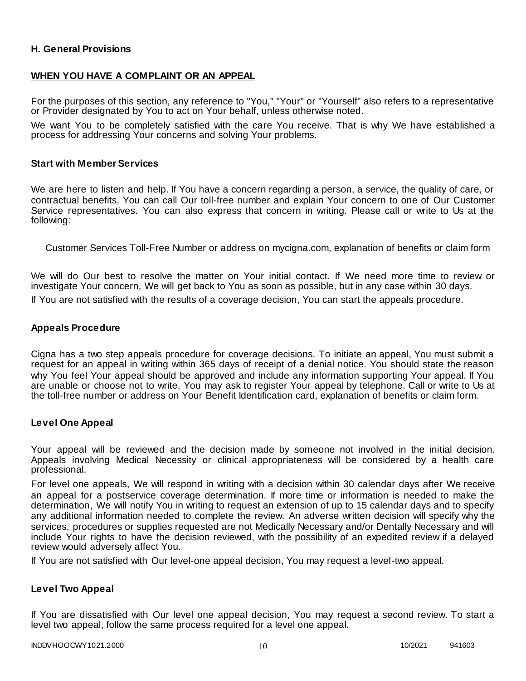## **H. General Provisions**

## **WHEN YOU HAVE A COMPLAINT OR AN APPEAL**

For the purposes of this section, any reference to "You," "Your" or "Yourself" also refers to a representative or Provider designated by You to act on Your behalf, unless otherwise noted.

We want You to be completely satisfied with the care You receive. That is why We have established a process for addressing Your concerns and solving Your problems.

#### **Start with Member Services**

We are here to listen and help. If You have a concern regarding a person, a service, the quality of care, or contractual benefits, You can call Our toll-free number and explain Your concern to one of Our Customer Service representatives. You can also express that concern in writing. Please call or write to Us at the following:

Customer Services Toll-Free Number or address on mycigna.com, explanation of benefits or claim form

We will do Our best to resolve the matter on Your initial contact. If We need more time to review or investigate Your concern, We will get back to You as soon as possible, but in any case within 30 days.

If You are not satisfied with the results of a coverage decision, You can start the appeals procedure.

#### **Appeals Procedure**

Cigna has a two step appeals procedure for coverage decisions. To initiate an appeal, You must submit a request for an appeal in writing within 365 days of receipt of a denial notice. You should state the reason why You feel Your appeal should be approved and include any information supporting Your appeal. If You are unable or choose not to write, You may ask to register Your appeal by telephone. Call or write to Us at the toll-free number or address on Your Benefit Identification card, explanation of benefits or claim form.

#### **Level One Appeal**

Your appeal will be reviewed and the decision made by someone not involved in the initial decision. Appeals involving Medical Necessity or clinical appropriateness will be considered by a health care professional.

For level one appeals, We will respond in writing with a decision within 30 calendar days after We receive an appeal for a postservice coverage determination. If more time or information is needed to make the determination, We will notify You in writing to request an extension of up to 15 calendar days and to specify any additional information needed to complete the review. An adverse written decision will specify why the services, procedures or supplies requested are not Medically Necessary and/or Dentally Necessary and will include Your rights to have the decision reviewed, with the possibility of an expedited review if a delayed review would adversely affect You.

If You are not satisfied with Our level-one appeal decision, You may request a level-two appeal.

#### **Level Two Appeal**

If You are dissatisfied with Our level one appeal decision, You may request a second review. To start a level two appeal, follow the same process required for a level one appeal.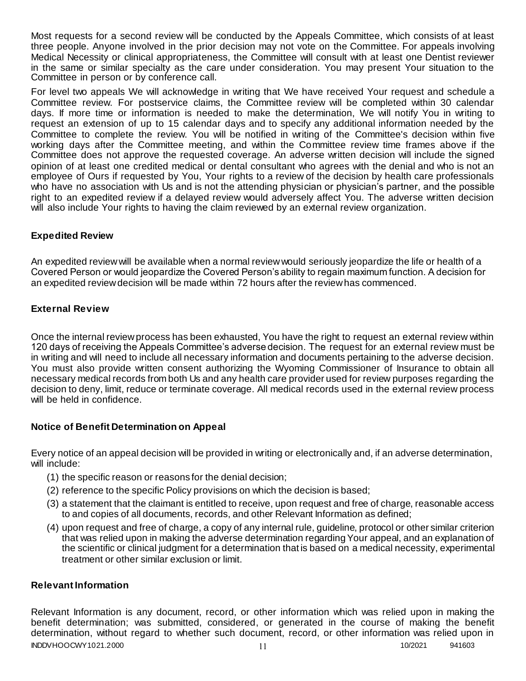Most requests for a second review will be conducted by the Appeals Committee, which consists of at least three people. Anyone involved in the prior decision may not vote on the Committee. For appeals involving Medical Necessity or clinical appropriateness, the Committee will consult with at least one Dentist reviewer in the same or similar specialty as the care under consideration. You may present Your situation to the Committee in person or by conference call.

For level two appeals We will acknowledge in writing that We have received Your request and schedule a Committee review. For postservice claims, the Committee review will be completed within 30 calendar days. If more time or information is needed to make the determination, We will notify You in writing to request an extension of up to 15 calendar days and to specify any additional information needed by the Committee to complete the review. You will be notified in writing of the Committee's decision within five working days after the Committee meeting, and within the Committee review time frames above if the Committee does not approve the requested coverage. An adverse written decision will include the signed opinion of at least one credited medical or dental consultant who agrees with the denial and who is not an employee of Ours if requested by You, Your rights to a review of the decision by health care professionals who have no association with Us and is not the attending physician or physician's partner, and the possible right to an expedited review if a delayed review would adversely affect You. The adverse written decision will also include Your rights to having the claim reviewed by an external review organization.

## **Expedited Review**

An expedited review will be available when a normal review would seriously jeopardize the life or health of a Covered Person or would jeopardize the Covered Person's ability to regain maximum function. A decision for an expedited review decision will be made within 72 hours after the review has commenced.

## **External Review**

Once the internal review process has been exhausted, You have the right to request an external review within 120 days of receiving the Appeals Committee's adverse decision. The request for an external review must be in writing and will need to include all necessary information and documents pertaining to the adverse decision. You must also provide written consent authorizing the Wyoming Commissioner of Insurance to obtain all necessary medical records from both Us and any health care provider used for review purposes regarding the decision to deny, limit, reduce or terminate coverage. All medical records used in the external review process will be held in confidence.

## **Notice of Benefit Determination on Appeal**

Every notice of an appeal decision will be provided in writing or electronically and, if an adverse determination, will include:

- (1) the specific reason or reasons for the denial decision;
- (2) reference to the specific Policy provisions on which the decision is based;
- (3) a statement that the claimant is entitled to receive, upon request and free of charge, reasonable access to and copies of all documents, records, and other Relevant Information as defined;
- (4) upon request and free of charge, a copy of any internal rule, guideline, protocol or other similar criterion that was relied upon in making the adverse determination regarding Your appeal, and an explanation of the scientific or clinical judgment for a determination that is based on a medical necessity, experimental treatment or other similar exclusion or limit.

## **Relevant Information**

INDDVHOOCWY1021.2000 11 10/2021 941603 Relevant Information is any document, record, or other information which was relied upon in making the benefit determination; was submitted, considered, or generated in the course of making the benefit determination, without regard to whether such document, record, or other information was relied upon in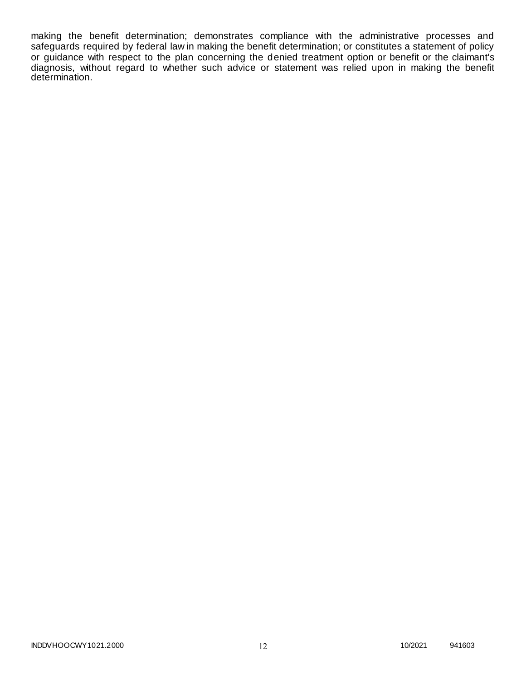making the benefit determination; demonstrates compliance with the administrative processes and safeguards required by federal law in making the benefit determination; or constitutes a statement of policy or guidance with respect to the plan concerning the denied treatment option or benefit or the claimant's diagnosis, without regard to whether such advice or statement was relied upon in making the benefit determination.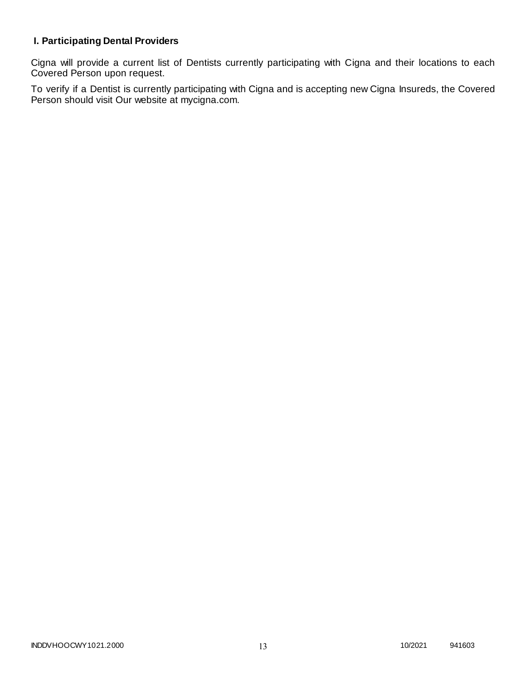# **I. Participating Dental Providers**

Cigna will provide a current list of Dentists currently participating with Cigna and their locations to each Covered Person upon request.

To verify if a Dentist is currently participating with Cigna and is accepting new Cigna Insureds, the Covered Person should visit Our website at mycigna.com.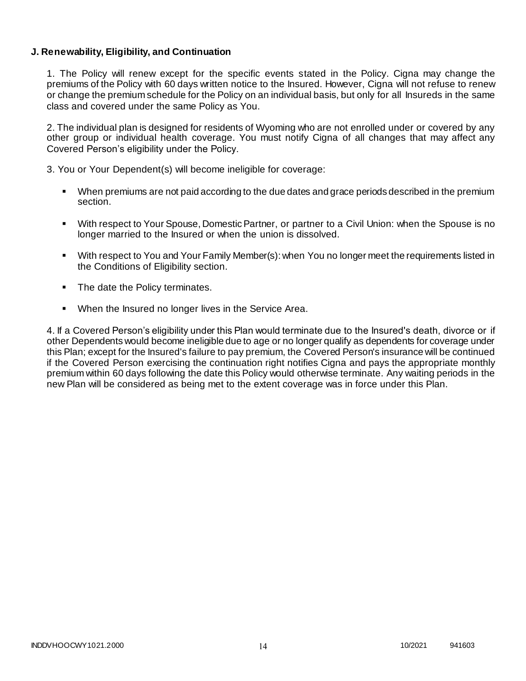## **J. Renewability, Eligibility, and Continuation**

1. The Policy will renew except for the specific events stated in the Policy. Cigna may change the premiums of the Policy with 60 days written notice to the Insured. However, Cigna will not refuse to renew or change the premium schedule for the Policy on an individual basis, but only for all Insureds in the same class and covered under the same Policy as You.

2. The individual plan is designed for residents of Wyoming who are not enrolled under or covered by any other group or individual health coverage. You must notify Cigna of all changes that may affect any Covered Person's eligibility under the Policy.

3. You or Your Dependent(s) will become ineligible for coverage:

- When premiums are not paid according to the due dates and grace periods described in the premium section.
- With respect to Your Spouse, Domestic Partner, or partner to a Civil Union: when the Spouse is no longer married to the Insured or when the union is dissolved.
- With respect to You and Your Family Member(s): when You no longer meet the requirements listed in the Conditions of Eligibility section.
- The date the Policy terminates.
- When the Insured no longer lives in the Service Area.

4. If a Covered Person's eligibility under this Plan would terminate due to the Insured's death, divorce or if other Dependents would become ineligible due to age or no longer qualify as dependents for coverage under this Plan; except for the Insured's failure to pay premium, the Covered Person's insurance will be continued if the Covered Person exercising the continuation right notifies Cigna and pays the appropriate monthly premium within 60 days following the date this Policy would otherwise terminate. Any waiting periods in the new Plan will be considered as being met to the extent coverage was in force under this Plan.